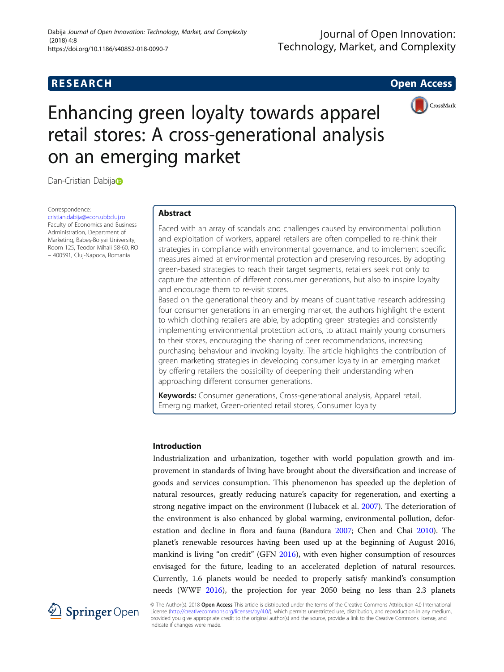# **RESEARCH CHE Open Access**



# Enhancing green loyalty towards apparel retail stores: A cross-generational analysis on an emerging market

D[a](http://orcid.org/0000-0002-8265-175X)n-Cristian Dabija

Correspondence: [cristian.dabija@econ.ubbcluj.ro](mailto:cristian.dabija@econ.ubbcluj.ro)

Faculty of Economics and Business Administration, Department of Marketing, Babeș-Bolyai University, Room 125, Teodor Mihali 58-60, RO – 400591, Cluj-Napoca, Romania

# Abstract

Faced with an array of scandals and challenges caused by environmental pollution and exploitation of workers, apparel retailers are often compelled to re-think their strategies in compliance with environmental governance, and to implement specific measures aimed at environmental protection and preserving resources. By adopting green-based strategies to reach their target segments, retailers seek not only to capture the attention of different consumer generations, but also to inspire loyalty and encourage them to re-visit stores.

Based on the generational theory and by means of quantitative research addressing four consumer generations in an emerging market, the authors highlight the extent to which clothing retailers are able, by adopting green strategies and consistently implementing environmental protection actions, to attract mainly young consumers to their stores, encouraging the sharing of peer recommendations, increasing purchasing behaviour and invoking loyalty. The article highlights the contribution of green marketing strategies in developing consumer loyalty in an emerging market by offering retailers the possibility of deepening their understanding when approaching different consumer generations.

Keywords: Consumer generations, Cross-generational analysis, Apparel retail, Emerging market, Green-oriented retail stores, Consumer loyalty

# Introduction

Industrialization and urbanization, together with world population growth and improvement in standards of living have brought about the diversification and increase of goods and services consumption. This phenomenon has speeded up the depletion of natural resources, greatly reducing nature's capacity for regeneration, and exerting a strong negative impact on the environment (Hubacek et al. [2007](#page-14-0)). The deterioration of the environment is also enhanced by global warming, environmental pollution, deforestation and decline in flora and fauna (Bandura [2007;](#page-13-0) Chen and Chai [2010](#page-13-0)). The planet's renewable resources having been used up at the beginning of August 2016, mankind is living "on credit" (GFN [2016\)](#page-13-0), with even higher consumption of resources envisaged for the future, leading to an accelerated depletion of natural resources. Currently, 1.6 planets would be needed to properly satisfy mankind's consumption needs (WWF [2016\)](#page-15-0), the projection for year 2050 being no less than 2.3 planets



© The Author(s). 2018 Open Access This article is distributed under the terms of the Creative Commons Attribution 4.0 International License [\(http://creativecommons.org/licenses/by/4.0/](http://creativecommons.org/licenses/by/4.0/)), which permits unrestricted use, distribution, and reproduction in any medium, provided you give appropriate credit to the original author(s) and the source, provide a link to the Creative Commons license, and indicate if changes were made.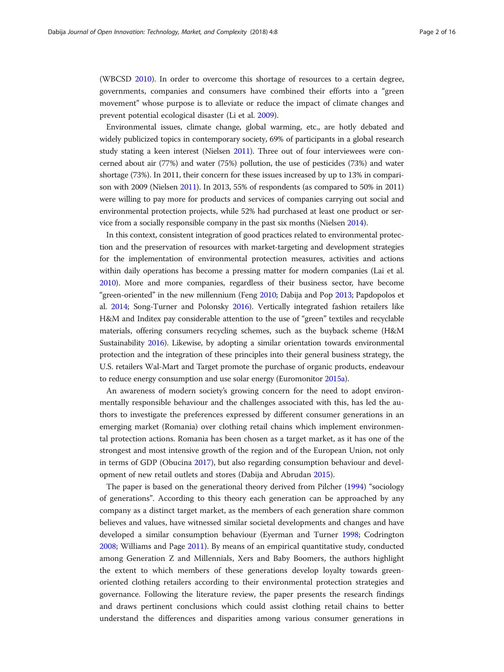(WBCSD [2010](#page-15-0)). In order to overcome this shortage of resources to a certain degree, governments, companies and consumers have combined their efforts into a "green movement" whose purpose is to alleviate or reduce the impact of climate changes and prevent potential ecological disaster (Li et al. [2009\)](#page-14-0).

Environmental issues, climate change, global warming, etc., are hotly debated and widely publicized topics in contemporary society, 69% of participants in a global research study stating a keen interest (Nielsen [2011\)](#page-14-0). Three out of four interviewees were concerned about air (77%) and water (75%) pollution, the use of pesticides (73%) and water shortage (73%). In 2011, their concern for these issues increased by up to 13% in comparison with 2009 (Nielsen [2011](#page-14-0)). In 2013, 55% of respondents (as compared to 50% in 2011) were willing to pay more for products and services of companies carrying out social and environmental protection projects, while 52% had purchased at least one product or service from a socially responsible company in the past six months (Nielsen [2014\)](#page-14-0).

In this context, consistent integration of good practices related to environmental protection and the preservation of resources with market-targeting and development strategies for the implementation of environmental protection measures, activities and actions within daily operations has become a pressing matter for modern companies (Lai et al. [2010\)](#page-14-0). More and more companies, regardless of their business sector, have become "green-oriented" in the new millennium (Feng [2010](#page-13-0); Dabija and Pop [2013;](#page-13-0) Papdopolos et al. [2014;](#page-15-0) Song-Turner and Polonsky [2016](#page-15-0)). Vertically integrated fashion retailers like H&M and Inditex pay considerable attention to the use of "green" textiles and recyclable materials, offering consumers recycling schemes, such as the buyback scheme (H&M Sustainability [2016](#page-14-0)). Likewise, by adopting a similar orientation towards environmental protection and the integration of these principles into their general business strategy, the U.S. retailers Wal-Mart and Target promote the purchase of organic products, endeavour to reduce energy consumption and use solar energy (Euromonitor [2015a\)](#page-13-0).

An awareness of modern society's growing concern for the need to adopt environmentally responsible behaviour and the challenges associated with this, has led the authors to investigate the preferences expressed by different consumer generations in an emerging market (Romania) over clothing retail chains which implement environmental protection actions. Romania has been chosen as a target market, as it has one of the strongest and most intensive growth of the region and of the European Union, not only in terms of GDP (Obucina [2017](#page-15-0)), but also regarding consumption behaviour and development of new retail outlets and stores (Dabija and Abrudan [2015\)](#page-13-0).

The paper is based on the generational theory derived from Pilcher [\(1994\)](#page-15-0) "sociology of generations". According to this theory each generation can be approached by any company as a distinct target market, as the members of each generation share common believes and values, have witnessed similar societal developments and changes and have developed a similar consumption behaviour (Eyerman and Turner [1998;](#page-13-0) Codrington [2008](#page-13-0); Williams and Page [2011](#page-15-0)). By means of an empirical quantitative study, conducted among Generation Z and Millennials, Xers and Baby Boomers, the authors highlight the extent to which members of these generations develop loyalty towards greenoriented clothing retailers according to their environmental protection strategies and governance. Following the literature review, the paper presents the research findings and draws pertinent conclusions which could assist clothing retail chains to better understand the differences and disparities among various consumer generations in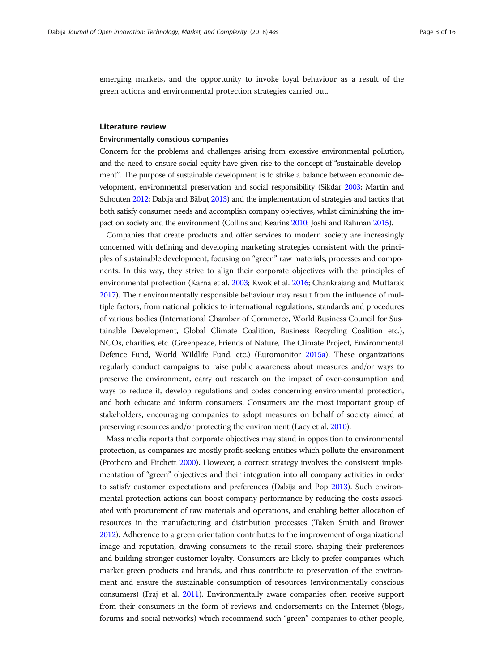emerging markets, and the opportunity to invoke loyal behaviour as a result of the green actions and environmental protection strategies carried out.

### Literature review

# Environmentally conscious companies

Concern for the problems and challenges arising from excessive environmental pollution, and the need to ensure social equity have given rise to the concept of "sustainable development". The purpose of sustainable development is to strike a balance between economic development, environmental preservation and social responsibility (Sikdar [2003](#page-15-0); Martin and Schouten [2012](#page-14-0); Dabija and Băbuț [2013](#page-13-0)) and the implementation of strategies and tactics that both satisfy consumer needs and accomplish company objectives, whilst diminishing the impact on society and the environment (Collins and Kearins [2010;](#page-13-0) Joshi and Rahman [2015\)](#page-14-0).

Companies that create products and offer services to modern society are increasingly concerned with defining and developing marketing strategies consistent with the principles of sustainable development, focusing on "green" raw materials, processes and components. In this way, they strive to align their corporate objectives with the principles of environmental protection (Karna et al. [2003](#page-14-0); Kwok et al. [2016](#page-14-0); Chankrajang and Muttarak [2017\)](#page-13-0). Their environmentally responsible behaviour may result from the influence of multiple factors, from national policies to international regulations, standards and procedures of various bodies (International Chamber of Commerce, World Business Council for Sustainable Development, Global Climate Coalition, Business Recycling Coalition etc.), NGOs, charities, etc. (Greenpeace, Friends of Nature, The Climate Project, Environmental Defence Fund, World Wildlife Fund, etc.) (Euromonitor [2015a\)](#page-13-0). These organizations regularly conduct campaigns to raise public awareness about measures and/or ways to preserve the environment, carry out research on the impact of over-consumption and ways to reduce it, develop regulations and codes concerning environmental protection, and both educate and inform consumers. Consumers are the most important group of stakeholders, encouraging companies to adopt measures on behalf of society aimed at preserving resources and/or protecting the environment (Lacy et al. [2010\)](#page-14-0).

Mass media reports that corporate objectives may stand in opposition to environmental protection, as companies are mostly profit-seeking entities which pollute the environment (Prothero and Fitchett [2000](#page-15-0)). However, a correct strategy involves the consistent implementation of "green" objectives and their integration into all company activities in order to satisfy customer expectations and preferences (Dabija and Pop [2013\)](#page-13-0). Such environmental protection actions can boost company performance by reducing the costs associated with procurement of raw materials and operations, and enabling better allocation of resources in the manufacturing and distribution processes (Taken Smith and Brower [2012\)](#page-15-0). Adherence to a green orientation contributes to the improvement of organizational image and reputation, drawing consumers to the retail store, shaping their preferences and building stronger customer loyalty. Consumers are likely to prefer companies which market green products and brands, and thus contribute to preservation of the environment and ensure the sustainable consumption of resources (environmentally conscious consumers) (Fraj et al. [2011](#page-13-0)). Environmentally aware companies often receive support from their consumers in the form of reviews and endorsements on the Internet (blogs, forums and social networks) which recommend such "green" companies to other people,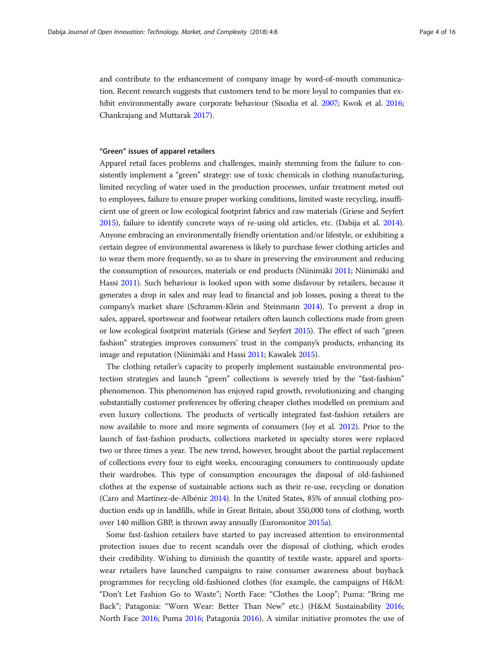and contribute to the enhancement of company image by word-of-mouth communication. Recent research suggests that customers tend to be more loyal to companies that exhibit environmentally aware corporate behaviour (Sisodia et al. [2007](#page-15-0); Kwok et al. [2016](#page-14-0); Chankrajang and Muttarak [2017\)](#page-13-0).

# "Green" issues of apparel retailers

Apparel retail faces problems and challenges, mainly stemming from the failure to consistently implement a "green" strategy: use of toxic chemicals in clothing manufacturing, limited recycling of water used in the production processes, unfair treatment meted out to employees, failure to ensure proper working conditions, limited waste recycling, insufficient use of green or low ecological footprint fabrics and raw materials (Griese and Seyfert [2015\)](#page-14-0), failure to identify concrete ways of re-using old articles, etc. (Dabija et al. [2014](#page-13-0)). Anyone embracing an environmentally friendly orientation and/or lifestyle, or exhibiting a certain degree of environmental awareness is likely to purchase fewer clothing articles and to wear them more frequently, so as to share in preserving the environment and reducing the consumption of resources, materials or end products (Niinimäki [2011;](#page-14-0) Niinimäki and Hassi [2011](#page-14-0)). Such behaviour is looked upon with some disfavour by retailers, because it generates a drop in sales and may lead to financial and job losses, posing a threat to the company's market share (Schramm-Klein and Steinmann [2014\)](#page-15-0). To prevent a drop in sales, apparel, sportswear and footwear retailers often launch collections made from green or low ecological footprint materials (Griese and Seyfert [2015](#page-14-0)). The effect of such "green fashion" strategies improves consumers' trust in the company's products, enhancing its image and reputation (Niinimäki and Hassi [2011](#page-14-0); Kawalek [2015](#page-14-0)).

The clothing retailer's capacity to properly implement sustainable environmental protection strategies and launch "green" collections is severely tried by the "fast-fashion" phenomenon. This phenomenon has enjoyed rapid growth, revolutionizing and changing substantially customer preferences by offering cheaper clothes modelled on premium and even luxury collections. The products of vertically integrated fast-fashion retailers are now available to more and more segments of consumers (Joy et al. [2012\)](#page-14-0). Prior to the launch of fast-fashion products, collections marketed in specialty stores were replaced two or three times a year. The new trend, however, brought about the partial replacement of collections every four to eight weeks, encouraging consumers to continuously update their wardrobes. This type of consumption encourages the disposal of old-fashioned clothes at the expense of sustainable actions such as their re-use, recycling or donation (Caro and Martínez-de-Albéniz [2014\)](#page-13-0). In the United States, 85% of annual clothing production ends up in landfills, while in Great Britain, about 350,000 tons of clothing, worth over 140 million GBP, is thrown away annually (Euromonitor [2015a\)](#page-13-0).

Some fast-fashion retailers have started to pay increased attention to environmental protection issues due to recent scandals over the disposal of clothing, which erodes their credibility. Wishing to diminish the quantity of textile waste, apparel and sportswear retailers have launched campaigns to raise consumer awareness about buyback programmes for recycling old-fashioned clothes (for example, the campaigns of H&M: "Don't Let Fashion Go to Waste"; North Face: "Clothes the Loop"; Puma: "Bring me Back"; Patagonia: "Worn Wear: Better Than New" etc.) (H&M Sustainability [2016](#page-14-0); North Face [2016;](#page-14-0) Puma [2016](#page-15-0); Patagonia [2016](#page-15-0)). A similar initiative promotes the use of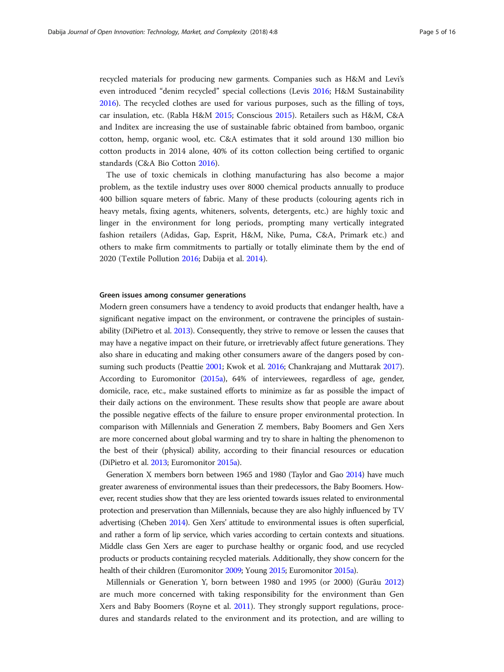recycled materials for producing new garments. Companies such as H&M and Levi's even introduced "denim recycled" special collections (Levis [2016](#page-14-0); H&M Sustainability [2016](#page-14-0)). The recycled clothes are used for various purposes, such as the filling of toys, car insulation, etc. (Rabla H&M [2015](#page-15-0); Conscious [2015](#page-13-0)). Retailers such as H&M, C&A and Inditex are increasing the use of sustainable fabric obtained from bamboo, organic cotton, hemp, organic wool, etc. C&A estimates that it sold around 130 million bio cotton products in 2014 alone, 40% of its cotton collection being certified to organic standards (C&A Bio Cotton [2016](#page-13-0)).

The use of toxic chemicals in clothing manufacturing has also become a major problem, as the textile industry uses over 8000 chemical products annually to produce 400 billion square meters of fabric. Many of these products (colouring agents rich in heavy metals, fixing agents, whiteners, solvents, detergents, etc.) are highly toxic and linger in the environment for long periods, prompting many vertically integrated fashion retailers (Adidas, Gap, Esprit, H&M, Nike, Puma, C&A, Primark etc.) and others to make firm commitments to partially or totally eliminate them by the end of 2020 (Textile Pollution [2016;](#page-15-0) Dabija et al. [2014](#page-13-0)).

# Green issues among consumer generations

Modern green consumers have a tendency to avoid products that endanger health, have a significant negative impact on the environment, or contravene the principles of sustainability (DiPietro et al. [2013\)](#page-13-0). Consequently, they strive to remove or lessen the causes that may have a negative impact on their future, or irretrievably affect future generations. They also share in educating and making other consumers aware of the dangers posed by consuming such products (Peattie [2001;](#page-15-0) Kwok et al. [2016;](#page-14-0) Chankrajang and Muttarak [2017](#page-13-0)). According to Euromonitor [\(2015a\)](#page-13-0), 64% of interviewees, regardless of age, gender, domicile, race, etc., make sustained efforts to minimize as far as possible the impact of their daily actions on the environment. These results show that people are aware about the possible negative effects of the failure to ensure proper environmental protection. In comparison with Millennials and Generation Z members, Baby Boomers and Gen Xers are more concerned about global warming and try to share in halting the phenomenon to the best of their (physical) ability, according to their financial resources or education (DiPietro et al. [2013;](#page-13-0) Euromonitor [2015a](#page-13-0)).

Generation X members born between 1965 and 1980 (Taylor and Gao [2014\)](#page-15-0) have much greater awareness of environmental issues than their predecessors, the Baby Boomers. However, recent studies show that they are less oriented towards issues related to environmental protection and preservation than Millennials, because they are also highly influenced by TV advertising (Cheben [2014](#page-13-0)). Gen Xers' attitude to environmental issues is often superficial, and rather a form of lip service, which varies according to certain contexts and situations. Middle class Gen Xers are eager to purchase healthy or organic food, and use recycled products or products containing recycled materials. Additionally, they show concern for the health of their children (Euromonitor [2009](#page-13-0); Young [2015](#page-15-0); Euromonitor [2015a](#page-13-0)).

Millennials or Generation Y, born between 1980 and 1995 (or 2000) (Gurău [2012](#page-14-0)) are much more concerned with taking responsibility for the environment than Gen Xers and Baby Boomers (Royne et al. [2011](#page-15-0)). They strongly support regulations, procedures and standards related to the environment and its protection, and are willing to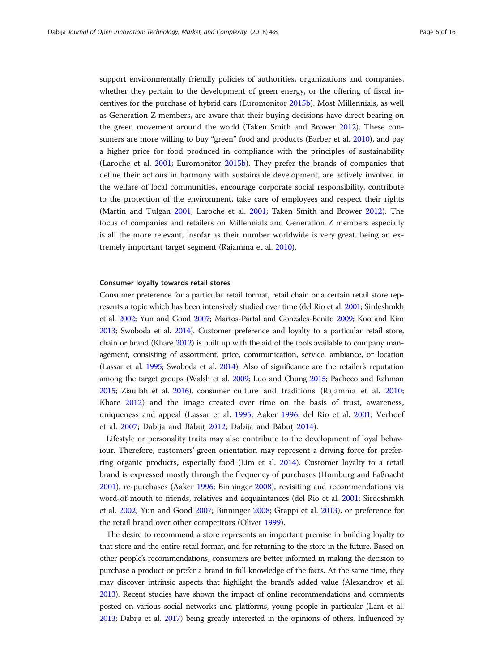support environmentally friendly policies of authorities, organizations and companies, whether they pertain to the development of green energy, or the offering of fiscal incentives for the purchase of hybrid cars (Euromonitor [2015b\)](#page-13-0). Most Millennials, as well as Generation Z members, are aware that their buying decisions have direct bearing on the green movement around the world (Taken Smith and Brower [2012\)](#page-15-0). These consumers are more willing to buy "green" food and products (Barber et al. [2010](#page-13-0)), and pay a higher price for food produced in compliance with the principles of sustainability (Laroche et al. [2001;](#page-14-0) Euromonitor [2015b\)](#page-13-0). They prefer the brands of companies that define their actions in harmony with sustainable development, are actively involved in the welfare of local communities, encourage corporate social responsibility, contribute to the protection of the environment, take care of employees and respect their rights (Martin and Tulgan [2001;](#page-14-0) Laroche et al. [2001;](#page-14-0) Taken Smith and Brower [2012\)](#page-15-0). The focus of companies and retailers on Millennials and Generation Z members especially is all the more relevant, insofar as their number worldwide is very great, being an extremely important target segment (Rajamma et al. [2010](#page-15-0)).

# Consumer loyalty towards retail stores

Consumer preference for a particular retail format, retail chain or a certain retail store represents a topic which has been intensively studied over time (del Rio et al. [2001](#page-13-0); Sirdeshmkh et al. [2002;](#page-15-0) Yun and Good [2007](#page-15-0); Martos-Partal and Gonzales-Benito [2009;](#page-14-0) Koo and Kim [2013;](#page-14-0) Swoboda et al. [2014](#page-15-0)). Customer preference and loyalty to a particular retail store, chain or brand (Khare [2012\)](#page-14-0) is built up with the aid of the tools available to company management, consisting of assortment, price, communication, service, ambiance, or location (Lassar et al. [1995](#page-14-0); Swoboda et al. [2014\)](#page-15-0). Also of significance are the retailer's reputation among the target groups (Walsh et al. [2009;](#page-15-0) Luo and Chung [2015](#page-14-0); Pacheco and Rahman [2015;](#page-15-0) Ziaullah et al. [2016](#page-15-0)), consumer culture and traditions (Rajamma et al. [2010](#page-15-0); Khare [2012](#page-14-0)) and the image created over time on the basis of trust, awareness, uniqueness and appeal (Lassar et al. [1995](#page-14-0); Aaker [1996](#page-12-0); del Rio et al. [2001](#page-13-0); Verhoef et al. [2007;](#page-15-0) Dabija and Băbuţ [2012;](#page-13-0) Dabija and Băbuţ [2014\)](#page-13-0).

Lifestyle or personality traits may also contribute to the development of loyal behaviour. Therefore, customers' green orientation may represent a driving force for preferring organic products, especially food (Lim et al. [2014](#page-14-0)). Customer loyalty to a retail brand is expressed mostly through the frequency of purchases (Homburg and Faßnacht [2001](#page-14-0)), re-purchases (Aaker [1996](#page-12-0); Binninger [2008\)](#page-13-0), revisiting and recommendations via word-of-mouth to friends, relatives and acquaintances (del Rio et al. [2001;](#page-13-0) Sirdeshmkh et al. [2002;](#page-15-0) Yun and Good [2007](#page-15-0); Binninger [2008;](#page-13-0) Grappi et al. [2013\)](#page-14-0), or preference for the retail brand over other competitors (Oliver [1999\)](#page-15-0).

The desire to recommend a store represents an important premise in building loyalty to that store and the entire retail format, and for returning to the store in the future. Based on other people's recommendations, consumers are better informed in making the decision to purchase a product or prefer a brand in full knowledge of the facts. At the same time, they may discover intrinsic aspects that highlight the brand's added value (Alexandrov et al. [2013\)](#page-12-0). Recent studies have shown the impact of online recommendations and comments posted on various social networks and platforms, young people in particular (Lam et al. [2013;](#page-14-0) Dabija et al. [2017](#page-13-0)) being greatly interested in the opinions of others. Influenced by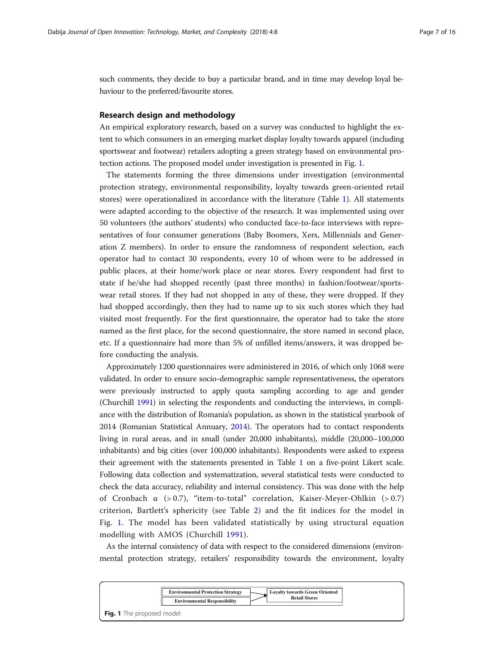<span id="page-6-0"></span>such comments, they decide to buy a particular brand, and in time may develop loyal behaviour to the preferred/favourite stores.

# Research design and methodology

An empirical exploratory research, based on a survey was conducted to highlight the extent to which consumers in an emerging market display loyalty towards apparel (including sportswear and footwear) retailers adopting a green strategy based on environmental protection actions. The proposed model under investigation is presented in Fig. 1.

The statements forming the three dimensions under investigation (environmental protection strategy, environmental responsibility, loyalty towards green-oriented retail stores) were operationalized in accordance with the literature (Table [1](#page-7-0)). All statements were adapted according to the objective of the research. It was implemented using over 50 volunteers (the authors' students) who conducted face-to-face interviews with representatives of four consumer generations (Baby Boomers, Xers, Millennials and Generation Z members). In order to ensure the randomness of respondent selection, each operator had to contact 30 respondents, every 10 of whom were to be addressed in public places, at their home/work place or near stores. Every respondent had first to state if he/she had shopped recently (past three months) in fashion/footwear/sportswear retail stores. If they had not shopped in any of these, they were dropped. If they had shopped accordingly, then they had to name up to six such stores which they had visited most frequently. For the first questionnaire, the operator had to take the store named as the first place, for the second questionnaire, the store named in second place, etc. If a questionnaire had more than 5% of unfilled items/answers, it was dropped before conducting the analysis.

Approximately 1200 questionnaires were administered in 2016, of which only 1068 were validated. In order to ensure socio-demographic sample representativeness, the operators were previously instructed to apply quota sampling according to age and gender (Churchill [1991](#page-13-0)) in selecting the respondents and conducting the interviews, in compliance with the distribution of Romania's population, as shown in the statistical yearbook of 2014 (Romanian Statistical Annuary, [2014](#page-15-0)). The operators had to contact respondents living in rural areas, and in small (under 20,000 inhabitants), middle (20,000–100,000 inhabitants) and big cities (over 100,000 inhabitants). Respondents were asked to express their agreement with the statements presented in Table [1](#page-7-0) on a five-point Likert scale. Following data collection and systematization, several statistical tests were conducted to check the data accuracy, reliability and internal consistency. This was done with the help of Cronbach  $\alpha$  (> 0.7), "item-to-total" correlation, Kaiser-Meyer-Ohlkin (> 0.7) criterion, Bartlett's sphericity (see Table [2](#page-7-0)) and the fit indices for the model in Fig. 1. The model has been validated statistically by using structural equation modelling with AMOS (Churchill [1991\)](#page-13-0).

As the internal consistency of data with respect to the considered dimensions (environmental protection strategy, retailers' responsibility towards the environment, loyalty

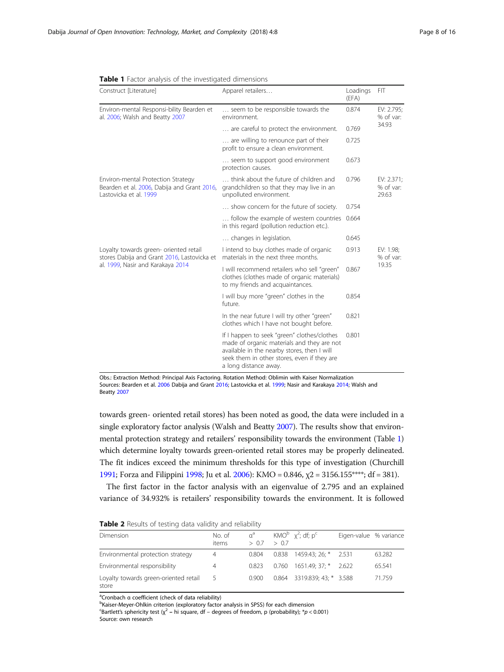| Construct [Literature]                                                                                                     | Apparel retailers                                                                                                                                                                                                | Loadings<br>(EFA) | FIT                              |  |  |  |
|----------------------------------------------------------------------------------------------------------------------------|------------------------------------------------------------------------------------------------------------------------------------------------------------------------------------------------------------------|-------------------|----------------------------------|--|--|--|
| Environ-mental Responsi-bility Bearden et<br>al. 2006; Walsh and Beatty 2007                                               | seem to be responsible towards the<br>environment.                                                                                                                                                               | 0.874             | EV: 2.795;<br>% of var:          |  |  |  |
|                                                                                                                            | are careful to protect the environment.                                                                                                                                                                          | 0.769             | 34.93                            |  |  |  |
|                                                                                                                            | are willing to renounce part of their<br>profit to ensure a clean environment.                                                                                                                                   | 0.725             |                                  |  |  |  |
|                                                                                                                            | seem to support good environment<br>protection causes.                                                                                                                                                           | 0.673             |                                  |  |  |  |
| Environ-mental Protection Strategy<br>Bearden et al. 2006, Dabija and Grant 2016,<br>Lastovicka et al. 1999                | think about the future of children and<br>grandchildren so that they may live in an<br>unpolluted environment.                                                                                                   | 0.796             | EV: 2.371;<br>% of var:<br>29.63 |  |  |  |
|                                                                                                                            | show concern for the future of society.                                                                                                                                                                          | 0.754             |                                  |  |  |  |
|                                                                                                                            | follow the example of western countries<br>in this regard (pollution reduction etc.).                                                                                                                            | 0.664             |                                  |  |  |  |
|                                                                                                                            | changes in legislation.                                                                                                                                                                                          | 0.645             |                                  |  |  |  |
| Loyalty towards green- oriented retail<br>stores Dabija and Grant 2016, Lastovicka et<br>al. 1999, Nasir and Karakaya 2014 | I intend to buy clothes made of organic<br>materials in the next three months.                                                                                                                                   | 0.913             | EV: 1.98;<br>% of var:           |  |  |  |
|                                                                                                                            | I will recommend retailers who sell "green"<br>clothes (clothes made of organic materials)<br>to my friends and acquaintances.                                                                                   | 0.867             | 19.35                            |  |  |  |
|                                                                                                                            | I will buy more "green" clothes in the<br>future.                                                                                                                                                                | 0.854             |                                  |  |  |  |
|                                                                                                                            | In the near future I will try other "green"<br>clothes which I have not bought before.                                                                                                                           | 0.821             |                                  |  |  |  |
|                                                                                                                            | If I happen to seek "green" clothes/clothes<br>made of organic materials and they are not<br>available in the nearby stores, then I will<br>seek them in other stores, even if they are<br>a long distance away. | 0.801             |                                  |  |  |  |

<span id="page-7-0"></span>

| <b>Table 1</b> Factor analysis of the investigated dimensions |
|---------------------------------------------------------------|
|---------------------------------------------------------------|

Obs.: Extraction Method: Principal Axis Factoring. Rotation Method: Oblimin with Kaiser Normalization Sources: Bearden et al. [2006](#page-13-0) Dabija and Grant [2016;](#page-13-0) Lastovicka et al. [1999](#page-14-0); Nasir and Karakaya [2014;](#page-14-0) Walsh and Beatty [2007](#page-15-0)

towards green- oriented retail stores) has been noted as good, the data were included in a single exploratory factor analysis (Walsh and Beatty [2007](#page-15-0)). The results show that environmental protection strategy and retailers' responsibility towards the environment (Table 1) which determine loyalty towards green-oriented retail stores may be properly delineated. The fit indices exceed the minimum thresholds for this type of investigation (Churchill [1991;](#page-13-0) Forza and Filippini [1998;](#page-13-0) Ju et al. [2006](#page-14-0)): KMO = 0.846, χ2 = 3156.155\*\*\*\*; df = 381).

The first factor in the factor analysis with an eigenvalue of 2.795 and an explained variance of 34.932% is retailers' responsibility towards the environment. It is followed

|  |  |  |  |  | Table 2 Results of testing data validity and reliability |
|--|--|--|--|--|----------------------------------------------------------|
|--|--|--|--|--|----------------------------------------------------------|

| Dimension                                      | No. of<br>items | $\alpha^a$<br>> 0.7 | >07 | KMO <sup>b</sup> $\chi^2$ ; df; p <sup>c</sup> | Eigen-value % variance |        |
|------------------------------------------------|-----------------|---------------------|-----|------------------------------------------------|------------------------|--------|
| Environmental protection strategy              | 4               | 0.804               |     | $0.838$ 1459.43; 26; * 2.531                   |                        | 63.282 |
| Environmental responsibility                   | 4               | 0.823               |     | $0.760$ 1651.49; 37; * 2.622                   |                        | 65.541 |
| Loyalty towards green-oriented retail<br>store | -5              | 0.900               |     | 0.864 3319.839:43: * 3.588                     |                        | 71.759 |

a<br>
<sup>a</sup>Cronbach α coefficient (check of data reliability)<br> **bKaiser Mover Oblkin criterion (ovploraton: factor** 

<sup>b</sup>Kaiser-Meyer-Ohlkin criterion (exploratory factor analysis in SPSS) for each dimension

<sup>c</sup>Bartlett's sphericity test ( $\chi^2$  – hi square, df – degrees of freedom, p (probability); \*p < 0.001) Source: own research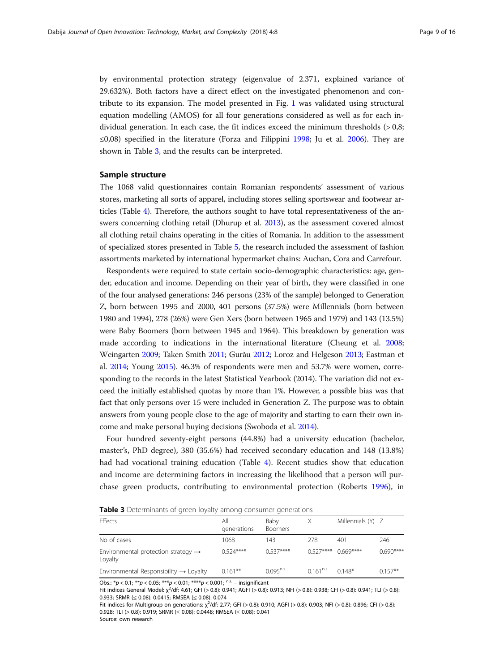<span id="page-8-0"></span>by environmental protection strategy (eigenvalue of 2.371, explained variance of 29.632%). Both factors have a direct effect on the investigated phenomenon and contribute to its expansion. The model presented in Fig. [1](#page-6-0) was validated using structural equation modelling (AMOS) for all four generations considered as well as for each individual generation. In each case, the fit indices exceed the minimum thresholds  $(>0.8;$ ≤0,08) specified in the literature (Forza and Filippini [1998](#page-13-0); Ju et al. [2006\)](#page-14-0). They are shown in Table 3, and the results can be interpreted.

# Sample structure

The 1068 valid questionnaires contain Romanian respondents' assessment of various stores, marketing all sorts of apparel, including stores selling sportswear and footwear articles (Table [4](#page-9-0)). Therefore, the authors sought to have total representativeness of the answers concerning clothing retail (Dhurup et al. [2013\)](#page-13-0), as the assessment covered almost all clothing retail chains operating in the cities of Romania. In addition to the assessment of specialized stores presented in Table [5,](#page-9-0) the research included the assessment of fashion assortments marketed by international hypermarket chains: Auchan, Cora and Carrefour.

Respondents were required to state certain socio-demographic characteristics: age, gender, education and income. Depending on their year of birth, they were classified in one of the four analysed generations: 246 persons (23% of the sample) belonged to Generation Z, born between 1995 and 2000, 401 persons (37.5%) were Millennials (born between 1980 and 1994), 278 (26%) were Gen Xers (born between 1965 and 1979) and 143 (13.5%) were Baby Boomers (born between 1945 and 1964). This breakdown by generation was made according to indications in the international literature (Cheung et al. [2008](#page-13-0); Weingarten [2009](#page-15-0); Taken Smith [2011;](#page-15-0) Gurău [2012;](#page-14-0) Loroz and Helgeson [2013;](#page-14-0) Eastman et al. [2014;](#page-13-0) Young [2015\)](#page-15-0). 46.3% of respondents were men and 53.7% were women, corresponding to the records in the latest Statistical Yearbook (2014). The variation did not exceed the initially established quotas by more than 1%. However, a possible bias was that fact that only persons over 15 were included in Generation Z. The purpose was to obtain answers from young people close to the age of majority and starting to earn their own income and make personal buying decisions (Swoboda et al. [2014\)](#page-15-0).

Four hundred seventy-eight persons (44.8%) had a university education (bachelor, master's, PhD degree), 380 (35.6%) had received secondary education and 148 (13.8%) had had vocational training education (Table [4](#page-9-0)). Recent studies show that education and income are determining factors in increasing the likelihood that a person will purchase green products, contributing to environmental protection (Roberts [1996\)](#page-15-0), in

Table 3 Determinants of green loyalty among consumer generations

| Effects                                                    | All<br>generations | Baby<br><b>Boomers</b> |                | Millennials $(Y)$ Z |            |
|------------------------------------------------------------|--------------------|------------------------|----------------|---------------------|------------|
| No of cases                                                | 1068               | 143                    | 278            | 401                 | 246        |
| Environmental protection strategy $\rightarrow$<br>Loyalty | $0.524***$         | $0.537***$             | $0.527***$     | $0.669***$          | $0.690***$ |
| Environmental Responsibility $\rightarrow$ Loyalty         | $0.161**$          | $0.095^{n.s.}$         | $0.161^{n.s.}$ | $0.148*$            | $0.157**$  |

Obs.:  $* p < 0.1$ ;  $** p < 0.05$ ;  $** p < 0.01$ ;  $*** p < 0.001$ ; n.s. – insignificant

Fit indices General Model:  $\chi^2$ /df: 4.61; GFI (> 0.8): 0.941; AGFI (> 0.8): 0.913; NFI (> 0.8): 0.938; CFI (> 0.8): 0.941; TLI (> 0.8): 0.933; SRMR (≤ 0.08): 0.0415; RMSEA (≤ 0.08): 0.074

Fit indices for Multigroup on generations: χ<sup>2</sup>/df: 2.77; GFI (> 0.8): 0.910; AGFI (> 0.8): 0.903; NFI (> 0.8): 0.896; CFI (> 0.8): 0.928; TLI (> 0.8): 0.919; SRMR (≤ 0.08): 0.0448; RMSEA (≤ 0.08): 0.041

Source: own research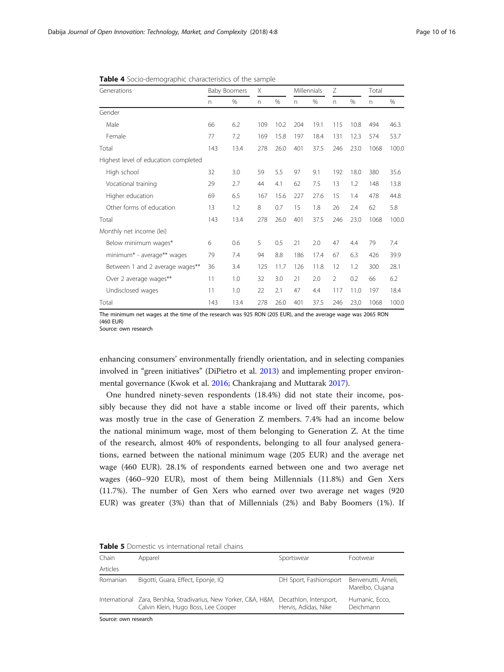| Generations                          | <b>Baby Boomers</b> |      | Χ   |      | Millennials |      | Ζ              |      | Total |       |
|--------------------------------------|---------------------|------|-----|------|-------------|------|----------------|------|-------|-------|
|                                      | n.                  | %    | n.  | %    | n           | %    | $\Gamma$       | %    | n.    | %     |
| Gender                               |                     |      |     |      |             |      |                |      |       |       |
| Male                                 | 66                  | 6.2  | 109 | 10.2 | 204         | 19.1 | 115            | 10.8 | 494   | 46.3  |
| Female                               | 77                  | 7.2  | 169 | 15.8 | 197         | 18.4 | 131            | 12.3 | 574   | 53.7  |
| Total                                | 143                 | 13.4 | 278 | 26.0 | 401         | 37.5 | 246            | 23.0 | 1068  | 100.0 |
| Highest level of education completed |                     |      |     |      |             |      |                |      |       |       |
| High school                          | 32                  | 3.0  | 59  | 5.5  | 97          | 9.1  | 192            | 18.0 | 380   | 35.6  |
| Vocational training                  | 29                  | 2.7  | 44  | 4.1  | 62          | 7.5  | 13             | 1.2  | 148   | 13.8  |
| Higher education                     | 69                  | 6.5  | 167 | 15.6 | 227         | 27.6 | 15             | 1.4  | 478   | 44.8  |
| Other forms of education             | 13                  | 1.2  | 8   | 0.7  | 15          | 1.8  | 26             | 2.4  | 62    | 5.8   |
| Total                                | 143                 | 13.4 | 278 | 26.0 | 401         | 37.5 | 246            | 23.0 | 1068  | 100.0 |
| Monthly net income (lei)             |                     |      |     |      |             |      |                |      |       |       |
| Below minimum wages*                 | 6                   | 0.6  | 5   | 0.5  | 21          | 2.0  | 47             | 4.4  | 79    | 7.4   |
| minimum* - average** wages           | 79                  | 7.4  | 94  | 8.8  | 186         | 17.4 | 67             | 6.3  | 426   | 39.9  |
| Between 1 and 2 average wages**      | 36                  | 3.4  | 125 | 11.7 | 126         | 11.8 | 12             | 1.2  | 300   | 28.1  |
| Over 2 average wages**               | 11                  | 1.0  | 32  | 3.0  | 21          | 2.0  | $\overline{2}$ | 0.2  | 66    | 6.2   |
| Undisclosed wages                    | 11                  | 1.0  | 22  | 2.1  | 47          | 4.4  | 117            | 11.0 | 197   | 18.4  |
| Total                                | 143                 | 13.4 | 278 | 26.0 | 401         | 37.5 | 246            | 23,0 | 1068  | 100.0 |

<span id="page-9-0"></span>Table 4 Socio-demographic characteristics of the sample

The minimum net wages at the time of the research was 925 RON (205 EUR), and the average wage was 2065 RON (460 EUR)

Source: own research

enhancing consumers' environmentally friendly orientation, and in selecting companies involved in "green initiatives" (DiPietro et al. [2013\)](#page-13-0) and implementing proper environmental governance (Kwok et al. [2016;](#page-14-0) Chankrajang and Muttarak [2017](#page-13-0)).

One hundred ninety-seven respondents (18.4%) did not state their income, possibly because they did not have a stable income or lived off their parents, which was mostly true in the case of Generation Z members. 7.4% had an income below the national minimum wage, most of them belonging to Generation Z. At the time of the research, almost 40% of respondents, belonging to all four analysed generations, earned between the national minimum wage (205 EUR) and the average net wage (460 EUR). 28.1% of respondents earned between one and two average net wages (460–920 EUR), most of them being Millennials (11.8%) and Gen Xers (11.7%). The number of Gen Xers who earned over two average net wages (920 EUR) was greater (3%) than that of Millennials (2%) and Baby Boomers (1%). If

| <b>I WINTS &amp;</b> DOITICSUS YS ITTELITUDIOI IO CUIT CHUITS |                                                                                                         |                                                |                                        |  |  |  |  |  |
|---------------------------------------------------------------|---------------------------------------------------------------------------------------------------------|------------------------------------------------|----------------------------------------|--|--|--|--|--|
| Chain                                                         | Apparel                                                                                                 | Sportswear                                     | Footwear                               |  |  |  |  |  |
| Articles                                                      |                                                                                                         |                                                |                                        |  |  |  |  |  |
| Romanian                                                      | Bigotti, Guara, Effect, Eponje, IQ                                                                      | DH Sport, Fashionsport                         | Benvenutti, Ameli,<br>Marelbo, Clujana |  |  |  |  |  |
|                                                               | International Zara, Bershka, Stradivarius, New Yorker, C&A, H&M,<br>Calvin Klein, Hugo Boss, Lee Cooper | Decathlon, Intersport,<br>Hervis, Adidas, Nike | Humanic, Ecco,<br>Deichmann            |  |  |  |  |  |

| <b>Table 5</b> Domestic vs international retail chains |  |
|--------------------------------------------------------|--|
|--------------------------------------------------------|--|

Source: own research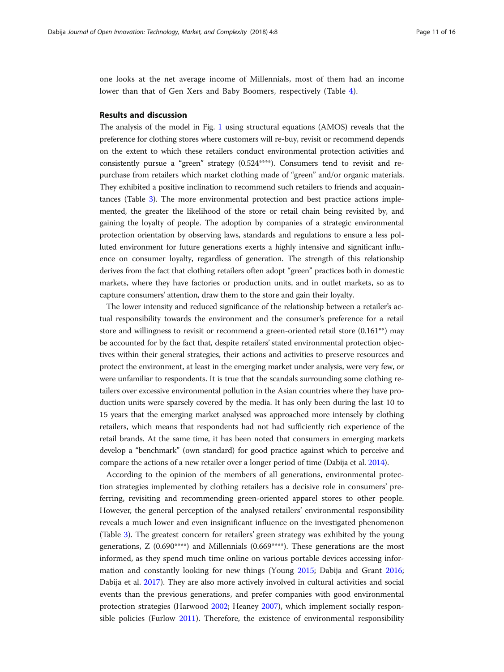one looks at the net average income of Millennials, most of them had an income lower than that of Gen Xers and Baby Boomers, respectively (Table [4\)](#page-9-0).

# Results and discussion

The analysis of the model in Fig. [1](#page-6-0) using structural equations (AMOS) reveals that the preference for clothing stores where customers will re-buy, revisit or recommend depends on the extent to which these retailers conduct environmental protection activities and consistently pursue a "green" strategy (0.524\*\*\*\*). Consumers tend to revisit and repurchase from retailers which market clothing made of "green" and/or organic materials. They exhibited a positive inclination to recommend such retailers to friends and acquaintances (Table [3\)](#page-8-0). The more environmental protection and best practice actions implemented, the greater the likelihood of the store or retail chain being revisited by, and gaining the loyalty of people. The adoption by companies of a strategic environmental protection orientation by observing laws, standards and regulations to ensure a less polluted environment for future generations exerts a highly intensive and significant influence on consumer loyalty, regardless of generation. The strength of this relationship derives from the fact that clothing retailers often adopt "green" practices both in domestic markets, where they have factories or production units, and in outlet markets, so as to capture consumers' attention, draw them to the store and gain their loyalty.

The lower intensity and reduced significance of the relationship between a retailer's actual responsibility towards the environment and the consumer's preference for a retail store and willingness to revisit or recommend a green-oriented retail store (0.161\*\*) may be accounted for by the fact that, despite retailers' stated environmental protection objectives within their general strategies, their actions and activities to preserve resources and protect the environment, at least in the emerging market under analysis, were very few, or were unfamiliar to respondents. It is true that the scandals surrounding some clothing retailers over excessive environmental pollution in the Asian countries where they have production units were sparsely covered by the media. It has only been during the last 10 to 15 years that the emerging market analysed was approached more intensely by clothing retailers, which means that respondents had not had sufficiently rich experience of the retail brands. At the same time, it has been noted that consumers in emerging markets develop a "benchmark" (own standard) for good practice against which to perceive and compare the actions of a new retailer over a longer period of time (Dabija et al. [2014\)](#page-13-0).

According to the opinion of the members of all generations, environmental protection strategies implemented by clothing retailers has a decisive role in consumers' preferring, revisiting and recommending green-oriented apparel stores to other people. However, the general perception of the analysed retailers' environmental responsibility reveals a much lower and even insignificant influence on the investigated phenomenon (Table [3](#page-8-0)). The greatest concern for retailers' green strategy was exhibited by the young generations,  $Z(0.690****)$  and Millennials  $(0.669***).$  These generations are the most informed, as they spend much time online on various portable devices accessing information and constantly looking for new things (Young [2015](#page-15-0); Dabija and Grant [2016](#page-13-0); Dabija et al. [2017\)](#page-13-0). They are also more actively involved in cultural activities and social events than the previous generations, and prefer companies with good environmental protection strategies (Harwood [2002](#page-14-0); Heaney [2007\)](#page-14-0), which implement socially responsible policies (Furlow [2011](#page-13-0)). Therefore, the existence of environmental responsibility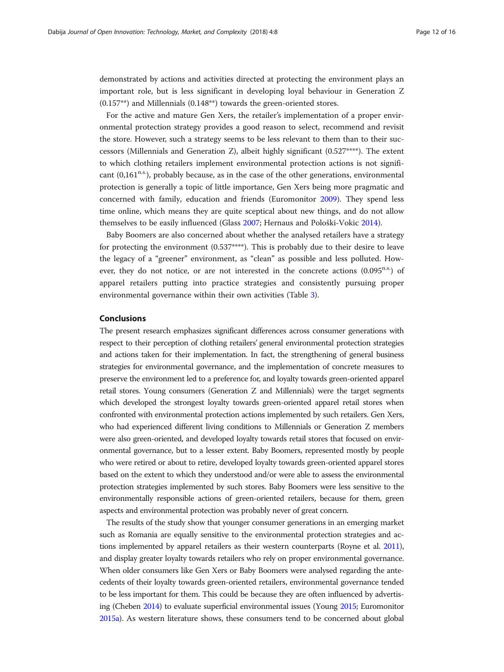demonstrated by actions and activities directed at protecting the environment plays an important role, but is less significant in developing loyal behaviour in Generation Z (0.157\*\*) and Millennials (0.148\*\*) towards the green-oriented stores.

For the active and mature Gen Xers, the retailer's implementation of a proper environmental protection strategy provides a good reason to select, recommend and revisit the store. However, such a strategy seems to be less relevant to them than to their successors (Millennials and Generation Z), albeit highly significant (0.527\*\*\*\*). The extent to which clothing retailers implement environmental protection actions is not significant  $(0,161^{n.s.})$ , probably because, as in the case of the other generations, environmental protection is generally a topic of little importance, Gen Xers being more pragmatic and concerned with family, education and friends (Euromonitor [2009](#page-13-0)). They spend less time online, which means they are quite sceptical about new things, and do not allow themselves to be easily influenced (Glass [2007;](#page-14-0) Hernaus and Pološki-Vokic [2014\)](#page-14-0).

Baby Boomers are also concerned about whether the analysed retailers have a strategy for protecting the environment (0.537\*\*\*\*). This is probably due to their desire to leave the legacy of a "greener" environment, as "clean" as possible and less polluted. However, they do not notice, or are not interested in the concrete actions  $(0.095^{n.s.})$  of apparel retailers putting into practice strategies and consistently pursuing proper environmental governance within their own activities (Table [3\)](#page-8-0).

# Conclusions

The present research emphasizes significant differences across consumer generations with respect to their perception of clothing retailers' general environmental protection strategies and actions taken for their implementation. In fact, the strengthening of general business strategies for environmental governance, and the implementation of concrete measures to preserve the environment led to a preference for, and loyalty towards green-oriented apparel retail stores. Young consumers (Generation Z and Millennials) were the target segments which developed the strongest loyalty towards green-oriented apparel retail stores when confronted with environmental protection actions implemented by such retailers. Gen Xers, who had experienced different living conditions to Millennials or Generation Z members were also green-oriented, and developed loyalty towards retail stores that focused on environmental governance, but to a lesser extent. Baby Boomers, represented mostly by people who were retired or about to retire, developed loyalty towards green-oriented apparel stores based on the extent to which they understood and/or were able to assess the environmental protection strategies implemented by such stores. Baby Boomers were less sensitive to the environmentally responsible actions of green-oriented retailers, because for them, green aspects and environmental protection was probably never of great concern.

The results of the study show that younger consumer generations in an emerging market such as Romania are equally sensitive to the environmental protection strategies and actions implemented by apparel retailers as their western counterparts (Royne et al. [2011](#page-15-0)), and display greater loyalty towards retailers who rely on proper environmental governance. When older consumers like Gen Xers or Baby Boomers were analysed regarding the antecedents of their loyalty towards green-oriented retailers, environmental governance tended to be less important for them. This could be because they are often influenced by advertising (Cheben [2014](#page-13-0)) to evaluate superficial environmental issues (Young [2015](#page-15-0); Euromonitor [2015a\)](#page-13-0). As western literature shows, these consumers tend to be concerned about global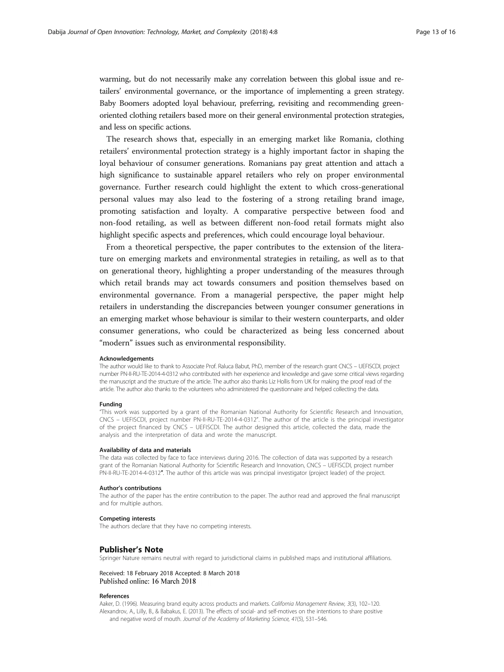<span id="page-12-0"></span>warming, but do not necessarily make any correlation between this global issue and retailers' environmental governance, or the importance of implementing a green strategy. Baby Boomers adopted loyal behaviour, preferring, revisiting and recommending greenoriented clothing retailers based more on their general environmental protection strategies, and less on specific actions.

The research shows that, especially in an emerging market like Romania, clothing retailers' environmental protection strategy is a highly important factor in shaping the loyal behaviour of consumer generations. Romanians pay great attention and attach a high significance to sustainable apparel retailers who rely on proper environmental governance. Further research could highlight the extent to which cross-generational personal values may also lead to the fostering of a strong retailing brand image, promoting satisfaction and loyalty. A comparative perspective between food and non-food retailing, as well as between different non-food retail formats might also highlight specific aspects and preferences, which could encourage loyal behaviour.

From a theoretical perspective, the paper contributes to the extension of the literature on emerging markets and environmental strategies in retailing, as well as to that on generational theory, highlighting a proper understanding of the measures through which retail brands may act towards consumers and position themselves based on environmental governance. From a managerial perspective, the paper might help retailers in understanding the discrepancies between younger consumer generations in an emerging market whose behaviour is similar to their western counterparts, and older consumer generations, who could be characterized as being less concerned about "modern" issues such as environmental responsibility.

#### Acknowledgements

The author would like to thank to Associate Prof. Raluca Babut, PhD, member of the research grant CNCS – UEFISCDI, project number PN-II-RU-TE-2014-4-0312 who contributed with her experience and knowledge and gave some critical views regarding the manuscript and the structure of the article. The author also thanks Liz Hollis from UK for making the proof read of the article. The author also thanks to the volunteers who administered the questionnaire and helped collecting the data.

## Funding

"This work was supported by a grant of the Romanian National Authority for Scientific Research and Innovation, CNCS – UEFISCDI, project number PN-II-RU-TE-2014-4-0312". The author of the article is the principal investigator of the project financed by CNCS – UEFISCDI. The author designed this article, collected the data, made the analysis and the interpretation of data and wrote the manuscript.

#### Availability of data and materials

The data was collected by face to face interviews during 2016. The collection of data was supported by a research grant of the Romanian National Authority for Scientific Research and Innovation, CNCS – UEFISCDI, project number PN-II-RU-TE-2014-4-0312″. The author of this article was was principal investigator (project leader) of the project.

#### Author's contributions

The author of the paper has the entire contribution to the paper. The author read and approved the final manuscript and for multiple authors.

#### Competing interests

The authors declare that they have no competing interests.

### Publisher's Note

Springer Nature remains neutral with regard to jurisdictional claims in published maps and institutional affiliations.

# Received: 18 February 2018 Accepted: 8 March 2018 Published online: 16 March 2018

#### References

Aaker, D. (1996). Measuring brand equity across products and markets. California Management Review, 3(3), 102–120. Alexandrov, A., Lilly, B., & Babakus, E. (2013). The effects of social- and self-motives on the intentions to share positive and negative word of mouth. Journal of the Academy of Marketing Science, 41(5), 531-546.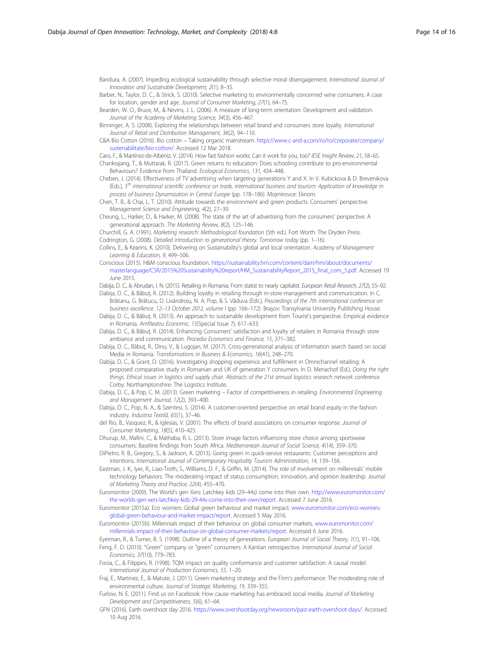<span id="page-13-0"></span>Bandura, A. (2007). Impeding ecological sustainability through selective moral disengagement. International Journal of Innovation and Sustainable Development, 2(1), 8–35.

Barber, N., Taylor, D. C., & Strick, S. (2010). Selective marketing to environmentally concerned wine consumers: A case for location, gender and age. Journal of Consumer Marketing, 27(1), 64–75.

Bearden, W. O., Bruce, M., & Nevins, J. L. (2006). A measure of long-term orientation: Development and validation. Journal of the Academy of Marketing Science, 34(3), 456–467.

Binninger, A. S. (2008). Exploring the relationships between retail brand and consumers store loyalty. International Journal of Retail and Distribution Management, 36(2), 94–110.

C&A Bio Cotton (2016). Bio cotton – Taking organic mainstream. [https://www.c-and-a.com/ro/ro/corporate/company/](https://www.c-and-a.com/ro/ro/corporate/company/sustenabilitate/bio-cotton/) [sustenabilitate/bio-cotton/](https://www.c-and-a.com/ro/ro/corporate/company/sustenabilitate/bio-cotton/). Accessed 12 Mar 2018.

Caro, F., & Martínez-de-Albéniz, V. (2014). How fast fashion works: Can it work for you, too? IESE Insight Review, 21, 58–65. Chankrajang, T., & Muttarak, R. (2017). Green returns to education: Does schooling contribute to pro-environmental Behaviours? Evidence from Thailand. Ecological Economics, 131, 434–448.

Cheben, J. (2014). Effectiveness of TV advertising when targeting generations Y and X. In V. Kubickova & D. Brevenikova (Eds.), 5<sup>th</sup> international scientific conference on trade, international business and tourism: Application of knowledge in process of business Dynamization in Central Europe (pp. 178–186). Mojmirovce: Eknom.

Chen, T. B., & Chai, L. T. (2010). Attitude towards the environment and green products: Consumers' perspective. Management Science and Engineering, 4(2), 27–39.

Cheung, L., Harker, D., & Harker, M. (2008). The state of the art of advertising from the consumers' perspective: A generational approach. The Marketing Review, 8(2), 125–146.

Churchill, G. A. (1991). Marketing research: Methodological foundation (5th ed.). Fort Worth: The Dryden Press. Codrington, G. (2008). Detailed introduction ro generational theory. Tomorrow today (pp. 1–16).

Collins, E., & Kearins, K. (2010). Delivering on Sustainability's global and local orientation. Academy of Management Learning & Education, 9, 499–506.

Conscious (2015). H&M conscious foundation. [https://sustainability.hm.com/content/dam/hm/about/documents/](https://sustainability.hm.com/content/dam/hm/about/documents/masterlanguage/CSR/2015%20Sustainability%20report/HM_SustainabilityReport_2015_final_com_5.pdf) [masterlanguage/CSR/2015%20Sustainability%20report/HM\\_SustainabilityReport\\_2015\\_final\\_com\\_5.pdf](https://sustainability.hm.com/content/dam/hm/about/documents/masterlanguage/CSR/2015%20Sustainability%20report/HM_SustainabilityReport_2015_final_com_5.pdf). Accessed 19 June 2015.

Dabija, D. C., & Abrudan, I. N. (2015). Retailing in Romania: From statist to nearly capitalist. European Retail Research, 27(2), 55-92. Dabija, D. C., & Băbuţ, R. (2012). Building loyalty in retailing through in-store-management and communication. In C.

- Brătianu, G. Brătucu, D. Lixăndroiu, N. A. Pop, & S. Văduva (Eds.), Proceedings of the 7th international conference on business excellence. 12–13 October 2012, volume I (pp. 166–172). Braşov: Transylvania University Publishing House.
- Dabija, D. C., & Băbuț, R. (2013). An approach to sustainable development from Tourist's perspective. Empirical evidence in Romania. Amfiteatru Economic, 15(Special Issue 7), 617–633.

Dabija, D. C., & Băbut, R. (2014). Enhancing Consumers' satisfaction and loyalty of retailers in Romania through store ambiance and communication. Procedia Economics and Finance, 15, 371–382.

Dabija, D. C., Băbuţ, R., Dinu, V., & Lugojan, M. (2017). Cross-generational analysis of information search based on social Media in Romania. Transformations in Business & Economics, 16(41), 248–270.

Dabija, D. C., & Grant, D. (2016). Investigating shopping experience and fulfillment in Omnichannel retailing: A proposed comparative study in Romanian and UK of generation Y consumers. In D. Menachof (Ed.), Doing the right things. Ethical issues in logistics and supply chair. Abstracts of the 21st annual logistics research network conference. Corby: Northamptonshire: The Logistics Institute.

Dabija, D. C., & Pop, C. M. (2013). Green marketing – Factor of competitiveness in retailing. Environmental Engineering and Management Journal, 12(2), 393–400.

Dabija, D. C., Pop, N. A., & Szentesi, S. (2014). A customer-oriented perspective on retail brand equity in the fashion industry. Industria Textilă, 65(1), 37–46.

del Rio, B., Vasquez, R., & Iglesias, V. (2001). The effects of brand associations on consumer response. Journal of Consumer Marketing, 18(5), 410–425.

Dhurup, M., Mafini, C., & Mathaba, R. L. (2013). Store image factors influencing store choice among sportswear consumers: Baseline findings from South Africa. Mediterranean Journal of Social Science, 4(14), 359–370.

DiPietro, R. B., Gregory, S., & Jackson, A. (2013). Going green in quick-service restaurants: Customer perceptions and intentions. International Journal of Contemporary Hospitality Tourism Administration, 14, 139–156.

Eastman, J. K., Iyer, R., Liao-Troth, S., Williams, D. F., & Griffin, M. (2014). The role of involvement on millennials' mobile technology behaviors: The moderating impact of status consumption, innovation, and opinion leadership. Journal of Marketing Theory and Practice, 22(4), 455–470.

Euromonitor (2009), The World's gen Xers: Latchkey kids (29–44s) come into their own. [http://www.euromonitor.com/](http://www.euromonitor.com/the-worlds-gen-xers-latchkey-kids-29-44s-come-into-their-own/report) [the-worlds-gen-xers-latchkey-kids-29-44s-come-into-their-own/report](http://www.euromonitor.com/the-worlds-gen-xers-latchkey-kids-29-44s-come-into-their-own/report). Accessed 7 June 2016.

Euromonitor (2015a). Eco worriers: Global green behaviour and market impact. [www.euromonitor.com/eco-worriers](http://www.euromonitor.com/eco-worriers-global-green-behaviour-and-market-impact/report)[global-green-behaviour-and-market-impact/report.](http://www.euromonitor.com/eco-worriers-global-green-behaviour-and-market-impact/report) Accessed 5 May 2016.

Euromonitor (2015b). Millennials impact of their behaviour on global consumer markets. [www.euromonitor.com/](http://www.euromonitor.com/millennials-impact-of-their-behaviour-on-global-consumer-markets/report) [millennials-impact-of-their-behaviour-on-global-consumer-markets/report](http://www.euromonitor.com/millennials-impact-of-their-behaviour-on-global-consumer-markets/report). Accessed 6 June 2016.

Eyerman, R., & Turner, B. S. (1998). Outline of a theory of generations. European Journal of Social Theory, 1(1), 91–106. Feng, F. D. (2010). "Green" company or "green" consumers: A Kantian retrospective. International Journal of Social

Economics, 37(10), 779–783. Forza, C., & Filippini, R. (1998). TQM impact on quality conformance and customer satisfaction: A causal model. International Journal of Production Economics, 55, 1–20.

Fraj, E., Martinez, E., & Matute, J. (2011). Green marketing strategy and the Firm's performance: The moderating role of environmental culture. Journal of Strategic Marketing, 19, 339–355.

Furlow, N. E. (2011). Find us on Facebook: How cause marketing has embraced social media. Journal of Marketing Development and Competitiveness, 5(6), 61–64.

GFN (2016). Earth overshoot day 2016. [https://www.overshootday.org/newsroom/past-earth-overshoot-days/.](https://www.overshootday.org/newsroom/past-earth-overshoot-days/) Accessed 10 Aug 2016.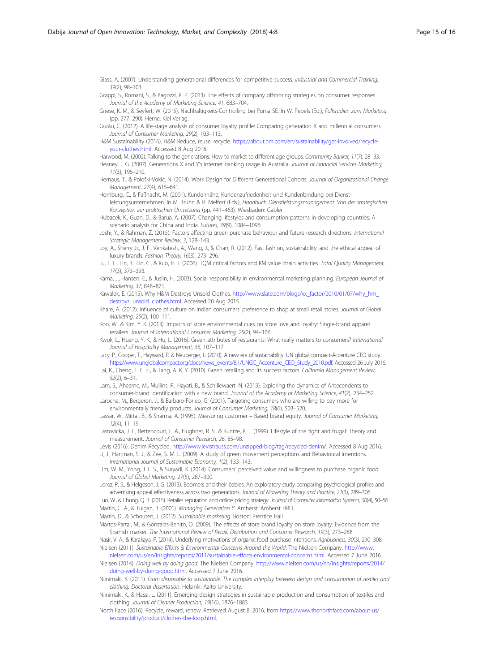<span id="page-14-0"></span>Glass, A. (2007). Understanding generational differences for competitive success. Industrial and Commercial Training, 39(2), 98–103.

Grappi, S., Romani, S., & Bagozzi, R. P. (2013). The effects of company offshoring strategies on consumer responses. Journal of the Academy of Marketing Science, 41, 683–704.

Griese, K. M., & Seyfert, W. (2015). Nachhaltigkeits-Controlling bei Puma SE. In W. Pepels (Ed.), Fallstudien zum Marketing (pp. 277–290). Herne: Kiel Verlag.

Gurău, C. (2012). A life-stage analysis of consumer loyalty profile: Comparing generation X and millennial consumers. Journal of Consumer Marketing, 29(2), 103–113.

H&M Sustainability (2016). H&M Reduce, reuse, recycle. [https://about.hm.com/en/sustainability/get-involved/recycle](https://about.hm.com/en/sustainability/get-involved/recycle-your-clothes.html)[your-clothes.html](https://about.hm.com/en/sustainability/get-involved/recycle-your-clothes.html). Accessed 8 Aug 2016.

Harwood, M. (2002). Talking to the generations: How to market to different age groups. Community Banker, 11(7), 28-33. Heaney, J. G. (2007). Generations X and Y's internet banking usage in Australia. Journal of Financial Services Marketing 11(3), 196–210.

Hernaus, T., & Pološki-Vokic, N. (2014). Work Design for Different Generational Cohorts. Journal of Organizational Change Management, 27(4), 615–641.

Homburg, C., & Faßnacht, M. (2001). Kundennähe, Kundenzufriedenheit und Kundenbindung bei Dienstleistungsunternehmen. In M. Bruhn & H. Meffert (Eds.), Handbuch Dienstleistungsmanagement. Von der strategischen

Konzeption zur praktischen Umsetzung (pp. 441–463). Wiesbaden: Gabler. Hubacek, K., Guan, D., & Barua, A. (2007). Changing lifestyles and consumption patterns in developing countries: A

scenario analysis for China and India. Futures, 39(9), 1084–1096.

Joshi, Y., & Rahman, Z. (2015). Factors affecting green purchase behaviour and future research directions. International Strategic Management Review, 3, 128–143.

Joy, A., Sherry Jr., J. F., Venkatesh, A., Wang, J., & Chan, R. (2012). Fast fashion, sustainability, and the ethical appeal of luxury brands. Fashion Theory, 16(3), 273–296.

Ju, T. L., Lin, B., Lin, C., & Kuo, H. J. (2006). TQM critical factors and KM value chain activities. Total Quality Management, 17(3), 373–393.

Karna, J., Hansen, E., & Juslin, H. (2003). Social responsibility in environmental marketing planning. European Journal of Marketing, 37, 848–871.

Kawalek, E. (2015). Why H&M Destroys Unsold Clothes. [http://www.slate.com/blogs/xx\\_factor/2010/01/07/why\\_hm\\_](http://www.slate.com/blogs/xx_factor/2010/01/07/why_hm_destroys_unsold_clothes.html) [destroys\\_unsold\\_clothes.html](http://www.slate.com/blogs/xx_factor/2010/01/07/why_hm_destroys_unsold_clothes.html). Accessed 20 Aug 2015.

Khare, A. (2012). Influence of culture on Indian consumers' preference to shop at small retail stores. Journal of Global Marketing, 25(2), 100–111.

Koo, W., & Kim, Y. K. (2013). Impacts of store environmental cues on store love and loyalty: Single-brand apparel retailers. Journal of International Consumer Marketing, 25(2), 94–106.

Kwok, L., Huang, Y. K., & Hu, L. (2016). Green attributes of restaurants: What really matters to consumers? International Journal of Hospitality Management, 55, 107–117.

Lacy, P., Cooper, T., Hayward, R. & Neuberger, L. (2010). A new era of sustainability. UN global compact-Accenture CEO study. [https://www.unglobalcompact.org/docs/news\\_events/8.1/UNGC\\_Accenture\\_CEO\\_Study\\_2010.pdf.](https://www.unglobalcompact.org/docs/news_events/8.1/UNGC_Accenture_CEO_Study_2010.pdf) Accessed 26 July 2016.

Lai, K., Cheng, T. C. E., & Tang, A. K. Y. (2010). Green retailing and its success factors. California Management Review, 52(2), 6–31.

Lam, S., Ahearne, M., Mullins, R., Hayati, B., & Schillewaert, N. (2013). Exploring the dynamics of Antecendents to consumer-brand identification with a new brand. Journal of the Academy of Marketing Science, 41(2), 234–252.

Laroche, M., Bergeron, J., & Barbaro-Forleo, G. (2001). Targeting consumers who are willing to pay more for environmentally friendly products. Journal of Consumer Marketing, 18(6), 503–520.

Lassar, W., Mittal, B., & Sharma, A. (1995). Measuring customer – Based brand equity. Journal of Consumer Marketing, 12(4), 11–19.

Lastovicka, J. L., Bettencourt, L. A., Hughner, R. S., & Kuntze, R. J. (1999). Lifestyle of the tight and frugal: Theory and measurement. Journal of Consumer Research, 26, 85–98.

Levis (2016). Denim Recycled. [http://www.levistrauss.com/unzipped-blog/tag/recycled-denim/.](http://www.levistrauss.com/unzipped-blog/tag/recycled-denim/) Accessed 8 Aug 2016. Li, J., Hartman, S. J., & Zee, S. M. L. (2009). A study of green movement perceptions and Behavioural intentions.

International Journal of Sustainable Economy, 1(2), 133–143.

Lim, W. M., Yong, J. L. S., & Suryadi, K. (2014). Consumers' perceived value and willingness to purchase organic food. Journal of Global Marketing, 27(5), 287–300.

Loroz, P. S., & Helgeson, J. G. (2013). Boomers and their babies: An exploratory study comparing psychological profiles and advertising appeal effectiveness across two generations. Journal of Marketing Theory and Practice, 21(3), 289–306.

Luo, W., & Chung, Q. B. (2015). Retailer reputation and online pricing strategy. Journal of Computer Information Systems, 50(4), 50–56. Martin, C. A., & Tulgan, B. (2001). Managing Generation Y. Amherst: Amherst HRD.

Martin, D., & Schouten, J. (2012). Sustainable marketing. Boston: Prentice Hall.

Martos-Partal, M., & Gonzales-Benito, O. (2009). The effects of store brand loyalty on store loyalty: Evidence from the Spanish market. The International Review of Retail, Distribution and Consumer Research, 19(3), 273–288.

Nasir, V. A., & Karakaya, F. (2014). Underlying motivations of organic food purchase intentions. Agribusiness, 30(3), 290–308. Nielsen (2011). Sustainable Efforts & Environmental Concerns Around the World. The Nielsen Company. [http://www.](http://www.nielsen.com/us/en/insights/reports/2011/sustainable-efforts-environmental-concerns.html)

[nielsen.com/us/en/insights/reports/2011/sustainable-efforts-environmental-concerns.html.](http://www.nielsen.com/us/en/insights/reports/2011/sustainable-efforts-environmental-concerns.html) Accessed 7 June 2016. Nielsen (2014). Doing well by doing good. The Nielsen Company. [http://www.nielsen.com/us/en/insights/reports/2014/](http://www.nielsen.com/us/en/insights/reports/2014/doing-well-by-doing-good.html) [doing-well-by-doing-good.html.](http://www.nielsen.com/us/en/insights/reports/2014/doing-well-by-doing-good.html) Accessed 7 June 2016.

Niinimäki, K. (2011). From disposable to sustainable. The complex interplay between design and consumption of textiles and clothing. Doctoral dissertation. Helsinki: Aalto University.

Niinimäki, K., & Hassi, L. (2011). Emerging design strategies in sustainable production and consumption of textiles and clothing. Journal of Cleaner Production, 19(16), 1876–1883.

North Face (2016). Recycle, reward, renew. Retrieved August 8, 2016, from [https://www.thenorthface.com/about-us/](https://www.thenorthface.com/about-us/responsibility/product/clothes-the-loop.html) [responsibility/product/clothes-the-loop.html](https://www.thenorthface.com/about-us/responsibility/product/clothes-the-loop.html).